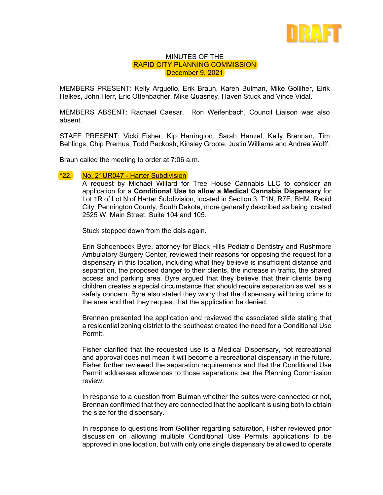

## MINUTES OF THE RAPID CITY PLANNING COMMISSION December 9, 2021

MEMBERS PRESENT: Kelly Arguello, Erik Braun, Karen Bulman, Mike Golliher, Eirik Heikes, John Herr, Eric Ottenbacher, Mike Quasney, Haven Stuck and Vince Vidal.

MEMBERS ABSENT: Rachael Caesar. Ron Weifenbach, Council Liaison was also absent.

STAFF PRESENT: Vicki Fisher, Kip Harrington, Sarah Hanzel, Kelly Brennan, Tim Behlings, Chip Premus, Todd Peckosh, Kinsley Groote, Justin Williams and Andrea Wolff.

Braun called the meeting to order at 7:06 a.m.

## \*22. No. 21UR047 - Harter Subdivision

A request by Michael Willard for Tree House Cannabis LLC to consider an application for a **Conditional Use to allow a Medical Cannabis Dispensary** for Lot 1R of Lot N of Harter Subdivision, located in Section 3, T1N, R7E, BHM, Rapid City, Pennington County, South Dakota, more generally described as being located 2525 W. Main Street, Suite 104 and 105.

Stuck stepped down from the dais again.

Erin Schoenbeck Byre, attorney for Black Hills Pediatric Dentistry and Rushmore Ambulatory Surgery Center, reviewed their reasons for opposing the request for a dispensary in this location, including what they believe is insufficient distance and separation, the proposed danger to their clients, the increase in traffic, the shared access and parking area. Byre argued that they believe that their clients being children creates a special circumstance that should require separation as well as a safety concern. Byre also stated they worry that the dispensary will bring crime to the area and that they request that the application be denied.

Brennan presented the application and reviewed the associated slide stating that a residential zoning district to the southeast created the need for a Conditional Use Permit.

Fisher clarified that the requested use is a Medical Dispensary, not recreational and approval does not mean it will become a recreational dispensary in the future. Fisher further reviewed the separation requirements and that the Conditional Use Permit addresses allowances to those separations per the Planning Commission review.

In response to a question from Bulman whether the suites were connected or not, Brennan confirmed that they are connected that the applicant is using both to obtain the size for the dispensary.

In response to questions from Golliher regarding saturation, Fisher reviewed prior discussion on allowing multiple Conditional Use Permits applications to be approved in one location, but with only one single dispensary be allowed to operate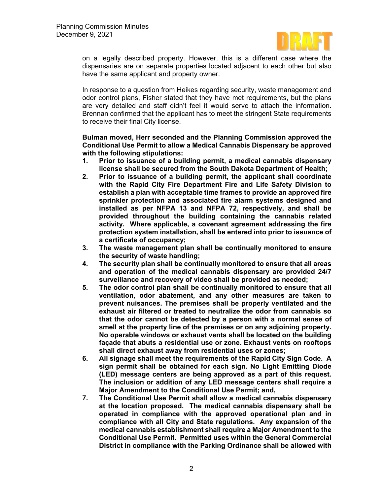

on a legally described property. However, this is a different case where the dispensaries are on separate properties located adjacent to each other but also have the same applicant and property owner.

In response to a question from Heikes regarding security, waste management and odor control plans, Fisher stated that they have met requirements, but the plans are very detailed and staff didn't feel it would serve to attach the information. Brennan confirmed that the applicant has to meet the stringent State requirements to receive their final City license.

## **Bulman moved, Herr seconded and the Planning Commission approved the Conditional Use Permit to allow a Medical Cannabis Dispensary be approved with the following stipulations:**

- **1. Prior to issuance of a building permit, a medical cannabis dispensary license shall be secured from the South Dakota Department of Health;**
- **2. Prior to issuance of a building permit, the applicant shall coordinate with the Rapid City Fire Department Fire and Life Safety Division to establish a plan with acceptable time frames to provide an approved fire sprinkler protection and associated fire alarm systems designed and installed as per NFPA 13 and NFPA 72, respectively, and shall be provided throughout the building containing the cannabis related activity. Where applicable, a covenant agreement addressing the fire protection system installation, shall be entered into prior to issuance of a certificate of occupancy;**
- **3. The waste management plan shall be continually monitored to ensure the security of waste handling;**
- **4. The security plan shall be continually monitored to ensure that all areas and operation of the medical cannabis dispensary are provided 24/7 surveillance and recovery of video shall be provided as needed;**
- **5. The odor control plan shall be continually monitored to ensure that all ventilation, odor abatement, and any other measures are taken to prevent nuisances. The premises shall be properly ventilated and the exhaust air filtered or treated to neutralize the odor from cannabis so that the odor cannot be detected by a person with a normal sense of smell at the property line of the premises or on any adjoining property. No operable windows or exhaust vents shall be located on the building façade that abuts a residential use or zone. Exhaust vents on rooftops shall direct exhaust away from residential uses or zones;**
- **6. All signage shall meet the requirements of the Rapid City Sign Code. A sign permit shall be obtained for each sign. No Light Emitting Diode (LED) message centers are being approved as a part of this request. The inclusion or addition of any LED message centers shall require a Major Amendment to the Conditional Use Permit; and,**
- **7. The Conditional Use Permit shall allow a medical cannabis dispensary at the location proposed. The medical cannabis dispensary shall be operated in compliance with the approved operational plan and in compliance with all City and State regulations. Any expansion of the medical cannabis establishment shall require a Major Amendment to the Conditional Use Permit. Permitted uses within the General Commercial District in compliance with the Parking Ordinance shall be allowed with**